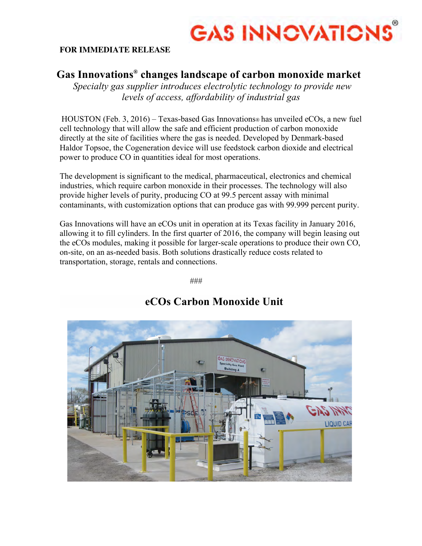

## **FOR IMMEDIATE RELEASE**

# **Gas Innovations® changes landscape of carbon monoxide market**

*Specialty gas supplier introduces electrolytic technology to provide new levels of access, affordability of industrial gas*

HOUSTON (Feb. 3, 2016) – Texas-based Gas Innovations® has unveiled eCOs, a new fuel cell technology that will allow the safe and efficient production of carbon monoxide directly at the site of facilities where the gas is needed. Developed by Denmark-based Haldor Topsoe, the Cogeneration device will use feedstock carbon dioxide and electrical power to produce CO in quantities ideal for most operations.

The development is significant to the medical, pharmaceutical, electronics and chemical industries, which require carbon monoxide in their processes. The technology will also provide higher levels of purity, producing CO at 99.5 percent assay with minimal contaminants, with customization options that can produce gas with 99.999 percent purity.

Gas Innovations will have an eCOs unit in operation at its Texas facility in January 2016, allowing it to fill cylinders. In the first quarter of 2016, the company will begin leasing out the eCOs modules, making it possible for larger-scale operations to produce their own CO, on-site, on an as-needed basis. Both solutions drastically reduce costs related to transportation, storage, rentals and connections.

###



# **eCOs Carbon Monoxide Unit**